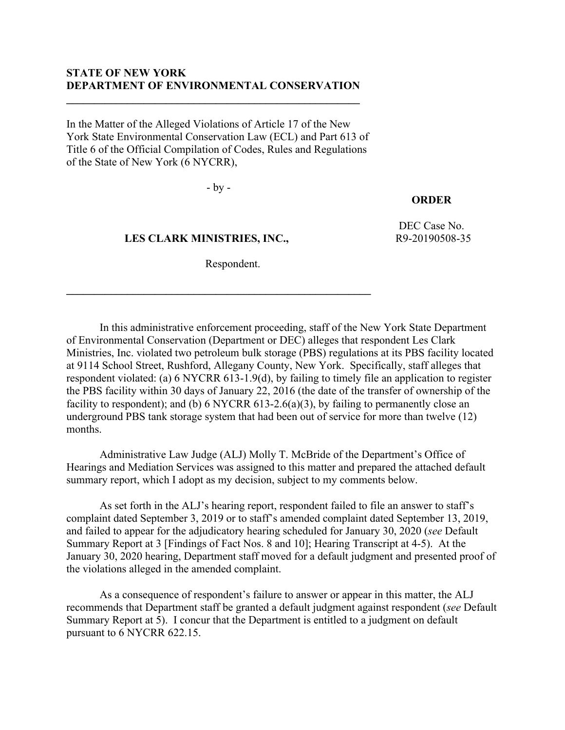### **STATE OF NEW YORK DEPARTMENT OF ENVIRONMENTAL CONSERVATION**

**\_\_\_\_\_\_\_\_\_\_\_\_\_\_\_\_\_\_\_\_\_\_\_\_\_\_\_\_\_\_\_\_\_\_\_\_\_\_\_\_\_\_\_\_\_\_\_\_\_\_\_\_\_**

In the Matter of the Alleged Violations of Article 17 of the New York State Environmental Conservation Law (ECL) and Part 613 of Title 6 of the Official Compilation of Codes, Rules and Regulations of the State of New York (6 NYCRR),

- by -

### **ORDER**

DEC Case No. R9-20190508-35

 **LES CLARK MINISTRIES, INC.,** Respondent.

**\_\_\_\_\_\_\_\_\_\_\_\_\_\_\_\_\_\_\_\_\_\_\_\_\_\_\_\_\_\_\_\_\_\_\_\_\_\_\_\_\_\_\_\_\_\_\_\_\_\_\_\_\_\_\_**

In this administrative enforcement proceeding, staff of the New York State Department of Environmental Conservation (Department or DEC) alleges that respondent Les Clark Ministries, Inc. violated two petroleum bulk storage (PBS) regulations at its PBS facility located at 9114 School Street, Rushford, Allegany County, New York. Specifically, staff alleges that respondent violated: (a) 6 NYCRR 613-1.9(d), by failing to timely file an application to register the PBS facility within 30 days of January 22, 2016 (the date of the transfer of ownership of the facility to respondent); and (b)  $6$  NYCRR  $613-2.6(a)(3)$ , by failing to permanently close an underground PBS tank storage system that had been out of service for more than twelve (12) months.

Administrative Law Judge (ALJ) Molly T. McBride of the Department's Office of Hearings and Mediation Services was assigned to this matter and prepared the attached default summary report, which I adopt as my decision, subject to my comments below.

As set forth in the ALJ's hearing report, respondent failed to file an answer to staff's complaint dated September 3, 2019 or to staff's amended complaint dated September 13, 2019, and failed to appear for the adjudicatory hearing scheduled for January 30, 2020 (*see* Default Summary Report at 3 [Findings of Fact Nos. 8 and 10]; Hearing Transcript at 4-5). At the January 30, 2020 hearing, Department staff moved for a default judgment and presented proof of the violations alleged in the amended complaint.

As a consequence of respondent's failure to answer or appear in this matter, the ALJ recommends that Department staff be granted a default judgment against respondent (*see* Default Summary Report at 5). I concur that the Department is entitled to a judgment on default pursuant to 6 NYCRR 622.15.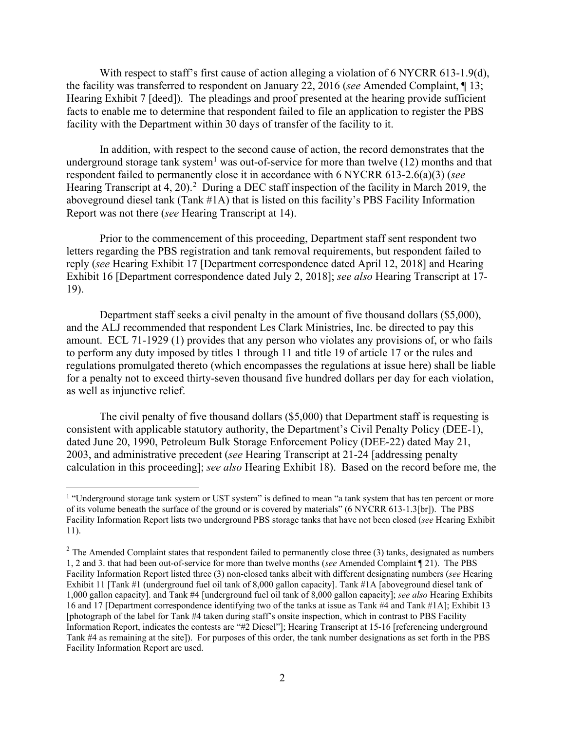With respect to staff's first cause of action alleging a violation of 6 NYCRR 613-1.9(d), the facility was transferred to respondent on January 22, 2016 (*see* Amended Complaint, ¶ 13; Hearing Exhibit 7 [deed]). The pleadings and proof presented at the hearing provide sufficient facts to enable me to determine that respondent failed to file an application to register the PBS facility with the Department within 30 days of transfer of the facility to it.

In addition, with respect to the second cause of action, the record demonstrates that the underground storage tank system<sup>[1](#page-1-0)</sup> was out-of-service for more than twelve (12) months and that respondent failed to permanently close it in accordance with 6 NYCRR 613-2.6(a)(3) (*see* Hearing Transcript at 4, [2](#page-1-1)0).<sup>2</sup> During a DEC staff inspection of the facility in March 2019, the aboveground diesel tank (Tank #1A) that is listed on this facility's PBS Facility Information Report was not there (*see* Hearing Transcript at 14).

Prior to the commencement of this proceeding, Department staff sent respondent two letters regarding the PBS registration and tank removal requirements, but respondent failed to reply (*see* Hearing Exhibit 17 [Department correspondence dated April 12, 2018] and Hearing Exhibit 16 [Department correspondence dated July 2, 2018]; *see also* Hearing Transcript at 17- 19).

Department staff seeks a civil penalty in the amount of five thousand dollars (\$5,000), and the ALJ recommended that respondent Les Clark Ministries, Inc. be directed to pay this amount. ECL 71-1929 (1) provides that any person who violates any provisions of, or who fails to perform any duty imposed by titles 1 through 11 and title 19 of article 17 or the rules and regulations promulgated thereto (which encompasses the regulations at issue here) shall be liable for a penalty not to exceed thirty-seven thousand five hundred dollars per day for each violation, as well as injunctive relief.

The civil penalty of five thousand dollars (\$5,000) that Department staff is requesting is consistent with applicable statutory authority, the Department's Civil Penalty Policy (DEE-1), dated June 20, 1990, Petroleum Bulk Storage Enforcement Policy (DEE-22) dated May 21, 2003, and administrative precedent (*see* Hearing Transcript at 21-24 [addressing penalty calculation in this proceeding]; *see also* Hearing Exhibit 18). Based on the record before me, the

<span id="page-1-0"></span><sup>&</sup>lt;sup>1</sup> "Underground storage tank system or UST system" is defined to mean "a tank system that has ten percent or more of its volume beneath the surface of the ground or is covered by materials" (6 NYCRR 613-1.3[br]). The PBS Facility Information Report lists two underground PBS storage tanks that have not been closed (*see* Hearing Exhibit 11).

<span id="page-1-1"></span> $2$  The Amended Complaint states that respondent failed to permanently close three (3) tanks, designated as numbers 1, 2 and 3. that had been out-of-service for more than twelve months (*see* Amended Complaint ¶ 21). The PBS Facility Information Report listed three (3) non-closed tanks albeit with different designating numbers (*see* Hearing Exhibit 11 [Tank #1 (underground fuel oil tank of 8,000 gallon capacity]. Tank #1A [aboveground diesel tank of 1,000 gallon capacity]. and Tank #4 [underground fuel oil tank of 8,000 gallon capacity]; *see also* Hearing Exhibits 16 and 17 [Department correspondence identifying two of the tanks at issue as Tank #4 and Tank #1A]; Exhibit 13 [photograph of the label for Tank #4 taken during staff's onsite inspection, which in contrast to PBS Facility Information Report, indicates the contests are "#2 Diesel"]; Hearing Transcript at 15-16 [referencing underground Tank #4 as remaining at the site]). For purposes of this order, the tank number designations as set forth in the PBS Facility Information Report are used.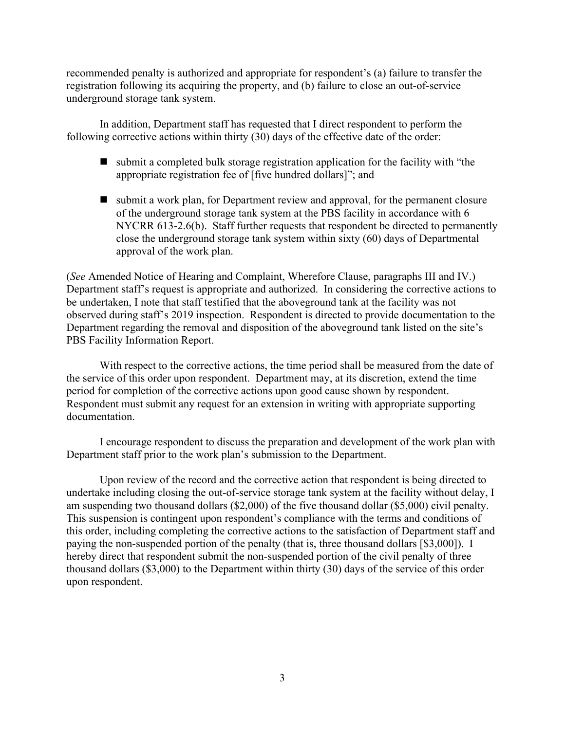recommended penalty is authorized and appropriate for respondent's (a) failure to transfer the registration following its acquiring the property, and (b) failure to close an out-of-service underground storage tank system.

In addition, Department staff has requested that I direct respondent to perform the following corrective actions within thirty (30) days of the effective date of the order:

- $\blacksquare$  submit a completed bulk storage registration application for the facility with "the appropriate registration fee of [five hundred dollars]"; and
- submit a work plan, for Department review and approval, for the permanent closure of the underground storage tank system at the PBS facility in accordance with 6 NYCRR 613-2.6(b). Staff further requests that respondent be directed to permanently close the underground storage tank system within sixty (60) days of Departmental approval of the work plan.

(*See* Amended Notice of Hearing and Complaint, Wherefore Clause, paragraphs III and IV.) Department staff's request is appropriate and authorized. In considering the corrective actions to be undertaken, I note that staff testified that the aboveground tank at the facility was not observed during staff's 2019 inspection. Respondent is directed to provide documentation to the Department regarding the removal and disposition of the aboveground tank listed on the site's PBS Facility Information Report.

With respect to the corrective actions, the time period shall be measured from the date of the service of this order upon respondent. Department may, at its discretion, extend the time period for completion of the corrective actions upon good cause shown by respondent. Respondent must submit any request for an extension in writing with appropriate supporting documentation.

I encourage respondent to discuss the preparation and development of the work plan with Department staff prior to the work plan's submission to the Department.

Upon review of the record and the corrective action that respondent is being directed to undertake including closing the out-of-service storage tank system at the facility without delay, I am suspending two thousand dollars (\$2,000) of the five thousand dollar (\$5,000) civil penalty. This suspension is contingent upon respondent's compliance with the terms and conditions of this order, including completing the corrective actions to the satisfaction of Department staff and paying the non-suspended portion of the penalty (that is, three thousand dollars [\$3,000]). I hereby direct that respondent submit the non-suspended portion of the civil penalty of three thousand dollars (\$3,000) to the Department within thirty (30) days of the service of this order upon respondent.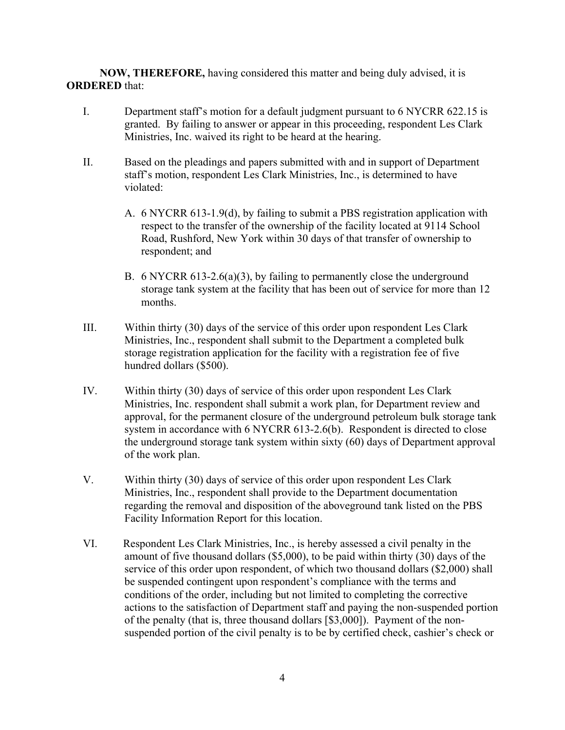**NOW, THEREFORE,** having considered this matter and being duly advised, it is **ORDERED** that:

- I. Department staff's motion for a default judgment pursuant to 6 NYCRR 622.15 is granted. By failing to answer or appear in this proceeding, respondent Les Clark Ministries, Inc. waived its right to be heard at the hearing.
- II. Based on the pleadings and papers submitted with and in support of Department staff's motion, respondent Les Clark Ministries, Inc., is determined to have violated:
	- A. 6 NYCRR 613-1.9(d), by failing to submit a PBS registration application with respect to the transfer of the ownership of the facility located at 9114 School Road, Rushford, New York within 30 days of that transfer of ownership to respondent; and
	- B. 6 NYCRR 613-2.6(a)(3), by failing to permanently close the underground storage tank system at the facility that has been out of service for more than 12 months.
- III. Within thirty (30) days of the service of this order upon respondent Les Clark Ministries, Inc., respondent shall submit to the Department a completed bulk storage registration application for the facility with a registration fee of five hundred dollars (\$500).
- IV. Within thirty (30) days of service of this order upon respondent Les Clark Ministries, Inc. respondent shall submit a work plan, for Department review and approval, for the permanent closure of the underground petroleum bulk storage tank system in accordance with 6 NYCRR 613-2.6(b). Respondent is directed to close the underground storage tank system within sixty (60) days of Department approval of the work plan.
- V. Within thirty (30) days of service of this order upon respondent Les Clark Ministries, Inc., respondent shall provide to the Department documentation regarding the removal and disposition of the aboveground tank listed on the PBS Facility Information Report for this location.
- VI. Respondent Les Clark Ministries, Inc., is hereby assessed a civil penalty in the amount of five thousand dollars (\$5,000), to be paid within thirty (30) days of the service of this order upon respondent, of which two thousand dollars (\$2,000) shall be suspended contingent upon respondent's compliance with the terms and conditions of the order, including but not limited to completing the corrective actions to the satisfaction of Department staff and paying the non-suspended portion of the penalty (that is, three thousand dollars [\$3,000]). Payment of the nonsuspended portion of the civil penalty is to be by certified check, cashier's check or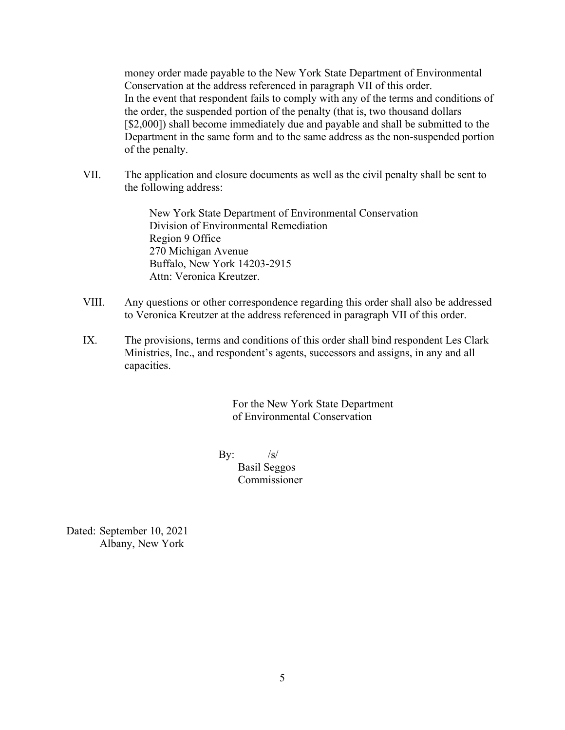money order made payable to the New York State Department of Environmental Conservation at the address referenced in paragraph VII of this order. In the event that respondent fails to comply with any of the terms and conditions of the order, the suspended portion of the penalty (that is, two thousand dollars [\$2,000]) shall become immediately due and payable and shall be submitted to the Department in the same form and to the same address as the non-suspended portion of the penalty.

VII. The application and closure documents as well as the civil penalty shall be sent to the following address:

> New York State Department of Environmental Conservation Division of Environmental Remediation Region 9 Office 270 Michigan Avenue Buffalo, New York 14203-2915 Attn: Veronica Kreutzer.

- VIII. Any questions or other correspondence regarding this order shall also be addressed to Veronica Kreutzer at the address referenced in paragraph VII of this order.
- IX. The provisions, terms and conditions of this order shall bind respondent Les Clark Ministries, Inc., and respondent's agents, successors and assigns, in any and all capacities.

For the New York State Department of Environmental Conservation

By:  $/s/$  Basil Seggos Commissioner

Dated: September 10, 2021 Albany, New York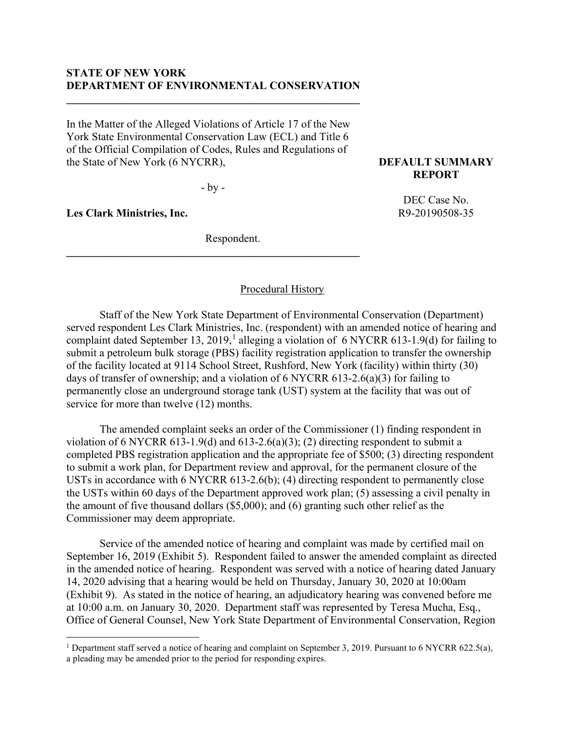### **STATE OF NEW YORK DEPARTMENT OF ENVIRONMENTAL CONSERVATION**

**\_\_\_\_\_\_\_\_\_\_\_\_\_\_\_\_\_\_\_\_\_\_\_\_\_\_\_\_\_\_\_\_\_\_\_\_\_\_\_\_\_\_\_\_\_\_\_\_\_\_\_\_\_**

In the Matter of the Alleged Violations of Article 17 of the New York State Environmental Conservation Law (ECL) and Title 6 of the Official Compilation of Codes, Rules and Regulations of the State of New York (6 NYCRR),

- by -

**\_\_\_\_\_\_\_\_\_\_\_\_\_\_\_\_\_\_\_\_\_\_\_\_\_\_\_\_\_\_\_\_\_\_\_\_\_\_\_\_\_\_\_\_\_\_\_\_\_\_\_\_\_**

**Les Clark Ministries, Inc.** 

Respondent.

### **DEFAULT SUMMARY REPORT**

DEC Case No. R9-20190508-35

### Procedural History

Staff of the New York State Department of Environmental Conservation (Department) served respondent Les Clark Ministries, Inc. (respondent) with an amended notice of hearing and complaint dated September [1](#page-5-0)3, 2019,<sup>1</sup> alleging a violation of 6 NYCRR 613-1.9(d) for failing to submit a petroleum bulk storage (PBS) facility registration application to transfer the ownership of the facility located at 9114 School Street, Rushford, New York (facility) within thirty (30) days of transfer of ownership; and a violation of 6 NYCRR 613-2.6(a)(3) for failing to permanently close an underground storage tank (UST) system at the facility that was out of service for more than twelve  $(12)$  months.

The amended complaint seeks an order of the Commissioner (1) finding respondent in violation of 6 NYCRR 613-1.9(d) and 613-2.6(a)(3); (2) directing respondent to submit a completed PBS registration application and the appropriate fee of \$500; (3) directing respondent to submit a work plan, for Department review and approval, for the permanent closure of the USTs in accordance with 6 NYCRR 613-2.6(b); (4) directing respondent to permanently close the USTs within 60 days of the Department approved work plan; (5) assessing a civil penalty in the amount of five thousand dollars (\$5,000); and (6) granting such other relief as the Commissioner may deem appropriate.

Service of the amended notice of hearing and complaint was made by certified mail on September 16, 2019 (Exhibit 5). Respondent failed to answer the amended complaint as directed in the amended notice of hearing. Respondent was served with a notice of hearing dated January 14, 2020 advising that a hearing would be held on Thursday, January 30, 2020 at 10:00am (Exhibit 9). As stated in the notice of hearing, an adjudicatory hearing was convened before me at 10:00 a.m. on January 30, 2020. Department staff was represented by Teresa Mucha, Esq., Office of General Counsel, New York State Department of Environmental Conservation, Region

<span id="page-5-0"></span><sup>&</sup>lt;sup>1</sup> Department staff served a notice of hearing and complaint on September 3, 2019. Pursuant to 6 NYCRR 622.5(a), a pleading may be amended prior to the period for responding expires.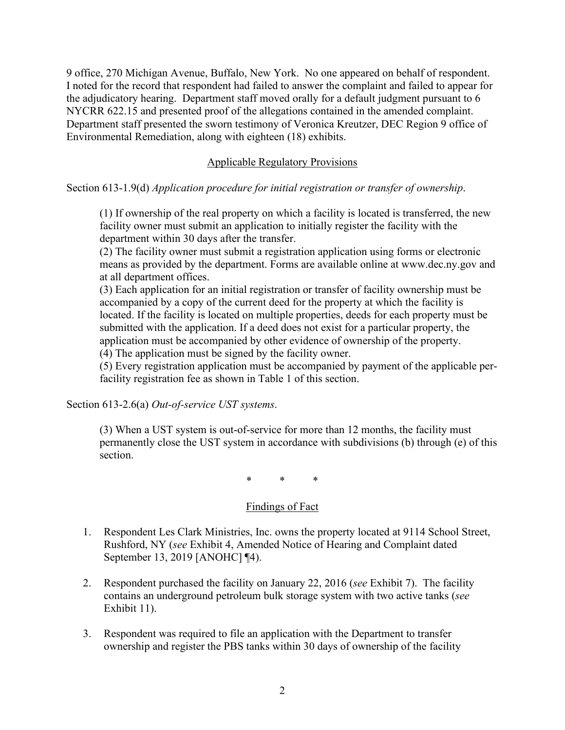9 office, 270 Michigan Avenue, Buffalo, New York. No one appeared on behalf of respondent. I noted for the record that respondent had failed to answer the complaint and failed to appear for the adjudicatory hearing. Department staff moved orally for a default judgment pursuant to 6 NYCRR 622.15 and presented proof of the allegations contained in the amended complaint. Department staff presented the sworn testimony of Veronica Kreutzer, DEC Region 9 office of Environmental Remediation, along with eighteen (18) exhibits.

### Applicable Regulatory Provisions

### Section 613-1.9(d) *Application procedure for initial registration or transfer of ownership*.

(1) If ownership of the real property on which a facility is located is transferred, the new facility owner must submit an application to initially register the facility with the department within 30 days after the transfer.

(2) The facility owner must submit a registration application using forms or electronic means as provided by the department. Forms are available online at www.dec.ny.gov and at all department offices.

(3) Each application for an initial registration or transfer of facility ownership must be accompanied by a copy of the current deed for the property at which the facility is located. If the facility is located on multiple properties, deeds for each property must be submitted with the application. If a deed does not exist for a particular property, the application must be accompanied by other evidence of ownership of the property. (4) The application must be signed by the facility owner.

(5) Every registration application must be accompanied by payment of the applicable perfacility registration fee as shown in Table 1 of this section.

Section 613-2.6(a) *Out-of-service UST systems*.

(3) When a UST system is out-of-service for more than 12 months, the facility must permanently close the UST system in accordance with subdivisions (b) through (e) of this section.

\* \* \*

### Findings of Fact

- 1. Respondent Les Clark Ministries, Inc. owns the property located at 9114 School Street, Rushford, NY (*see* Exhibit 4, Amended Notice of Hearing and Complaint dated September 13, 2019 [ANOHC] ¶4).
- 2. Respondent purchased the facility on January 22, 2016 (*see* Exhibit 7). The facility contains an underground petroleum bulk storage system with two active tanks (*see* Exhibit 11).
- 3. Respondent was required to file an application with the Department to transfer ownership and register the PBS tanks within 30 days of ownership of the facility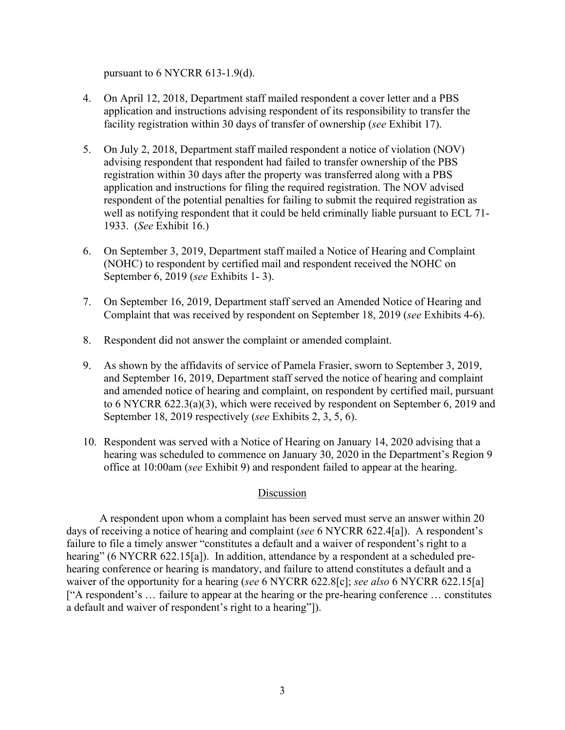pursuant to 6 NYCRR 613-1.9(d).

- 4. On April 12, 2018, Department staff mailed respondent a cover letter and a PBS application and instructions advising respondent of its responsibility to transfer the facility registration within 30 days of transfer of ownership (*see* Exhibit 17).
- 5. On July 2, 2018, Department staff mailed respondent a notice of violation (NOV) advising respondent that respondent had failed to transfer ownership of the PBS registration within 30 days after the property was transferred along with a PBS application and instructions for filing the required registration. The NOV advised respondent of the potential penalties for failing to submit the required registration as well as notifying respondent that it could be held criminally liable pursuant to ECL 71- 1933. (*See* Exhibit 16.)
- 6. On September 3, 2019, Department staff mailed a Notice of Hearing and Complaint (NOHC) to respondent by certified mail and respondent received the NOHC on September 6, 2019 (*see* Exhibits 1- 3).
- 7. On September 16, 2019, Department staff served an Amended Notice of Hearing and Complaint that was received by respondent on September 18, 2019 (*see* Exhibits 4-6).
- 8. Respondent did not answer the complaint or amended complaint.
- 9. As shown by the affidavits of service of Pamela Frasier, sworn to September 3, 2019, and September 16, 2019, Department staff served the notice of hearing and complaint and amended notice of hearing and complaint, on respondent by certified mail, pursuant to 6 NYCRR 622.3(a)(3), which were received by respondent on September 6, 2019 and September 18, 2019 respectively (*see* Exhibits 2, 3, 5, 6).
- 10. Respondent was served with a Notice of Hearing on January 14, 2020 advising that a hearing was scheduled to commence on January 30, 2020 in the Department's Region 9 office at 10:00am (*see* Exhibit 9) and respondent failed to appear at the hearing.

# Discussion

A respondent upon whom a complaint has been served must serve an answer within 20 days of receiving a notice of hearing and complaint (*see* 6 NYCRR 622.4[a]). A respondent's failure to file a timely answer "constitutes a default and a waiver of respondent's right to a hearing" (6 NYCRR 622.15[a]). In addition, attendance by a respondent at a scheduled prehearing conference or hearing is mandatory, and failure to attend constitutes a default and a waiver of the opportunity for a hearing (*see* 6 NYCRR 622.8[c]; *see also* 6 NYCRR 622.15[a] ["A respondent's … failure to appear at the hearing or the pre-hearing conference … constitutes a default and waiver of respondent's right to a hearing"]).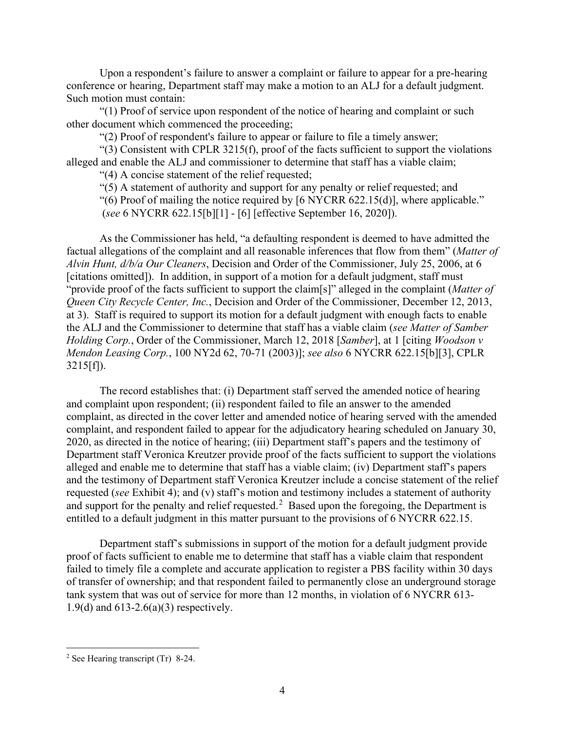Upon a respondent's failure to answer a complaint or failure to appear for a pre-hearing conference or hearing, Department staff may make a motion to an ALJ for a default judgment. Such motion must contain:

"(1) Proof of service upon respondent of the notice of hearing and complaint or such other document which commenced the proceeding;

"(2) Proof of respondent's failure to appear or failure to file a timely answer;

"(3) Consistent with CPLR 3215(f), proof of the facts sufficient to support the violations alleged and enable the ALJ and commissioner to determine that staff has a viable claim;

"(4) A concise statement of the relief requested;

"(5) A statement of authority and support for any penalty or relief requested; and

"(6) Proof of mailing the notice required by [6 NYCRR 622.15(d)], where applicable."

(*see* 6 NYCRR 622.15[b][1] - [6] [effective September 16, 2020]).

As the Commissioner has held, "a defaulting respondent is deemed to have admitted the factual allegations of the complaint and all reasonable inferences that flow from them" (*Matter of Alvin Hunt, d/b/a Our Cleaners*, Decision and Order of the Commissioner, July 25, 2006, at 6 [citations omitted]). In addition, in support of a motion for a default judgment, staff must "provide proof of the facts sufficient to support the claim[s]" alleged in the complaint (*Matter of Queen City Recycle Center, Inc.*, Decision and Order of the Commissioner, December 12, 2013, at 3). Staff is required to support its motion for a default judgment with enough facts to enable the ALJ and the Commissioner to determine that staff has a viable claim (*see Matter of Samber Holding Corp.*, Order of the Commissioner, March 12, 2018 [*Samber*], at 1 [citing *Woodson v Mendon Leasing Corp.*, 100 NY2d 62, 70-71 (2003)]; *see also* 6 NYCRR 622.15[b][3], CPLR  $3215[f])$ .

The record establishes that: (i) Department staff served the amended notice of hearing and complaint upon respondent; (ii) respondent failed to file an answer to the amended complaint, as directed in the cover letter and amended notice of hearing served with the amended complaint, and respondent failed to appear for the adjudicatory hearing scheduled on January 30, 2020, as directed in the notice of hearing; (iii) Department staff's papers and the testimony of Department staff Veronica Kreutzer provide proof of the facts sufficient to support the violations alleged and enable me to determine that staff has a viable claim; (iv) Department staff's papers and the testimony of Department staff Veronica Kreutzer include a concise statement of the relief requested (*see* Exhibit 4); and (v) staff's motion and testimony includes a statement of authority and support for the penalty and relief requested.<sup>[2](#page-8-0)</sup> Based upon the foregoing, the Department is entitled to a default judgment in this matter pursuant to the provisions of 6 NYCRR 622.15.

Department staff's submissions in support of the motion for a default judgment provide proof of facts sufficient to enable me to determine that staff has a viable claim that respondent failed to timely file a complete and accurate application to register a PBS facility within 30 days of transfer of ownership; and that respondent failed to permanently close an underground storage tank system that was out of service for more than 12 months, in violation of 6 NYCRR 613- 1.9(d) and 613-2.6(a)(3) respectively.

<span id="page-8-0"></span><sup>&</sup>lt;sup>2</sup> See Hearing transcript (Tr) 8-24.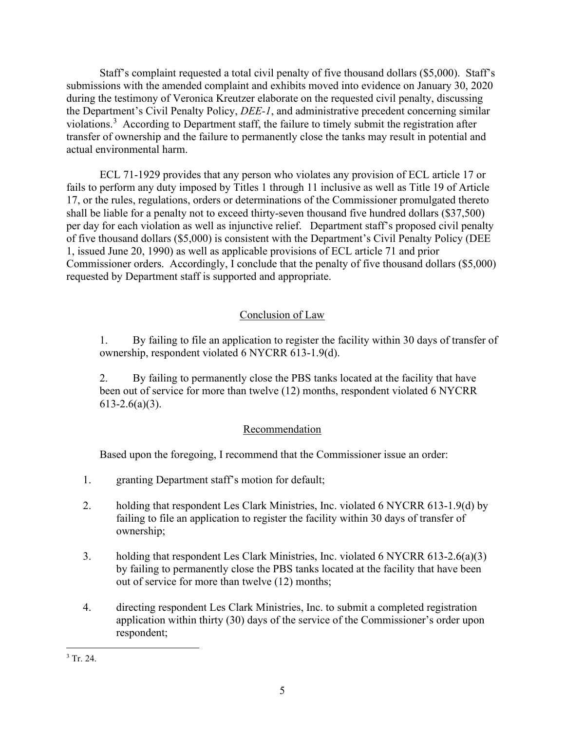Staff's complaint requested a total civil penalty of five thousand dollars (\$5,000). Staff's submissions with the amended complaint and exhibits moved into evidence on January 30, 2020 during the testimony of Veronica Kreutzer elaborate on the requested civil penalty, discussing the Department's Civil Penalty Policy, *DEE-1*, and administrative precedent concerning similar violations.<sup>[3](#page-9-0)</sup> According to Department staff, the failure to timely submit the registration after transfer of ownership and the failure to permanently close the tanks may result in potential and actual environmental harm.

ECL 71-1929 provides that any person who violates any provision of ECL article 17 or fails to perform any duty imposed by Titles 1 through 11 inclusive as well as Title 19 of Article 17, or the rules, regulations, orders or determinations of the Commissioner promulgated thereto shall be liable for a penalty not to exceed thirty-seven thousand five hundred dollars (\$37,500) per day for each violation as well as injunctive relief. Department staff's proposed civil penalty of five thousand dollars (\$5,000) is consistent with the Department's Civil Penalty Policy (DEE 1, issued June 20, 1990) as well as applicable provisions of ECL article 71 and prior Commissioner orders. Accordingly, I conclude that the penalty of five thousand dollars (\$5,000) requested by Department staff is supported and appropriate.

# Conclusion of Law

1. By failing to file an application to register the facility within 30 days of transfer of ownership, respondent violated 6 NYCRR 613-1.9(d).

2. By failing to permanently close the PBS tanks located at the facility that have been out of service for more than twelve (12) months, respondent violated 6 NYCRR  $613 - 2.6(a)(3)$ .

# Recommendation

Based upon the foregoing, I recommend that the Commissioner issue an order:

- 1. granting Department staff's motion for default;
- 2. holding that respondent Les Clark Ministries, Inc. violated 6 NYCRR 613-1.9(d) by failing to file an application to register the facility within 30 days of transfer of ownership;
- 3. holding that respondent Les Clark Ministries, Inc. violated 6 NYCRR 613-2.6(a)(3) by failing to permanently close the PBS tanks located at the facility that have been out of service for more than twelve (12) months;
- 4. directing respondent Les Clark Ministries, Inc. to submit a completed registration application within thirty (30) days of the service of the Commissioner's order upon respondent;

<span id="page-9-0"></span> $3$  Tr. 24.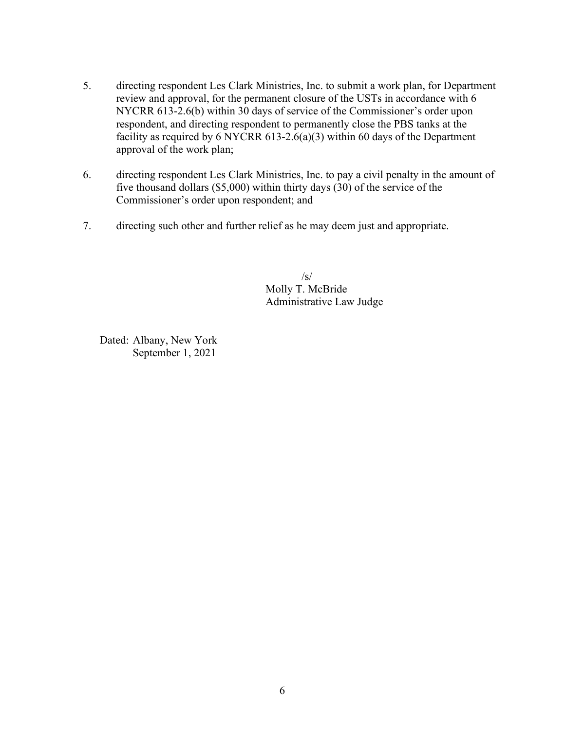- 5. directing respondent Les Clark Ministries, Inc. to submit a work plan, for Department review and approval, for the permanent closure of the USTs in accordance with 6 NYCRR 613-2.6(b) within 30 days of service of the Commissioner's order upon respondent, and directing respondent to permanently close the PBS tanks at the facility as required by 6 NYCRR 613-2.6(a)(3) within 60 days of the Department approval of the work plan;
- 6. directing respondent Les Clark Ministries, Inc. to pay a civil penalty in the amount of five thousand dollars (\$5,000) within thirty days (30) of the service of the Commissioner's order upon respondent; and
- 7. directing such other and further relief as he may deem just and appropriate.

 /s/ Molly T. McBride Administrative Law Judge

Dated: Albany, New York September 1, 2021